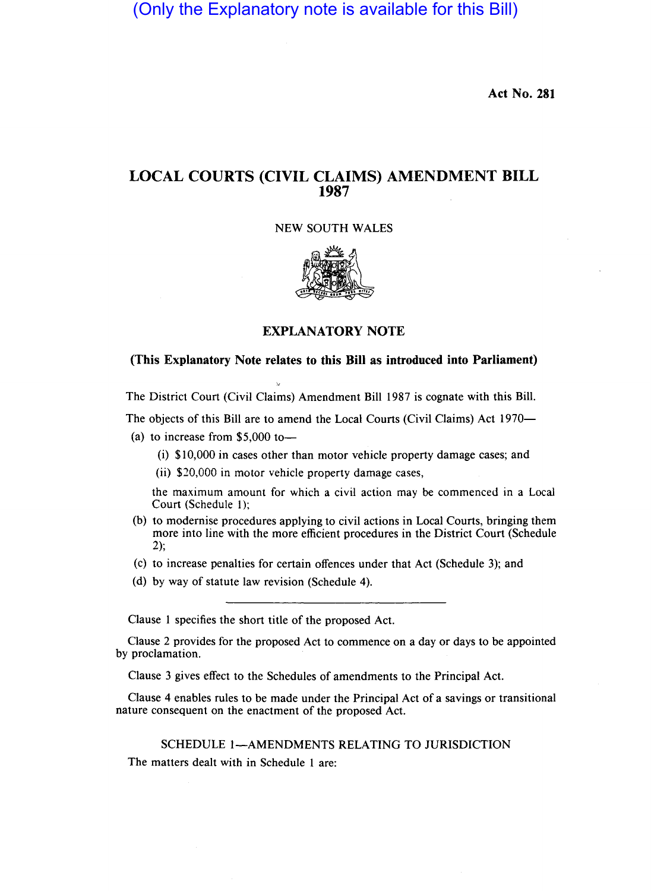(Only the Explanatory note is available for this Bill)

Act No. 281

# LOCAL COURTS (CIVIL CLAIMS) AMENDMENT BILL 1987

## NEW SOUTH WALES



## EXPLANATORY NOTE

## (This Explanatory Note relates to this Bill as introduced into Parliament)

The District Court (Civil Claims) Amendment BilI 1987 is cognate with this Bill.

The objects of this Bill are to amend the Local Courts (Civil Claims) Act 1970-

- (a) to increase from  $$5,000$  to-
	- (i) \$10,000 in cases other than motor vehicle property damage cases; and
	- (ii) \$20,000 in motor vehicle property damage cases,

the maximum amount for which a civil action may be commenced in a Local Court (Schedule I);

- (b) to modernise procedures applying to civil actions in Local Courts, bringing them more into line with the more efficient procedures in the District Court (Schedule 2);
- (c) to increase penalties for certain offences under that Act (Schedule 3); and
- (d) by way of statute law revision (Schedule 4).

Clause I specifies the short title of the proposed Act.

Clause 2 provides for the proposed Act to commence on a day or days to be appointed by proclamation.

Clause 3 gives effect to the Schedules of amendments to the Principal Act.

Clause 4 enables rules to be made under the Principal Act of a savings or transitional nature consequent on the enactment of the proposed Act.

## SCHEDULE 1-AMENDMENTS RELATING TO JURISDICTION

The matters dealt with in Schedule I are: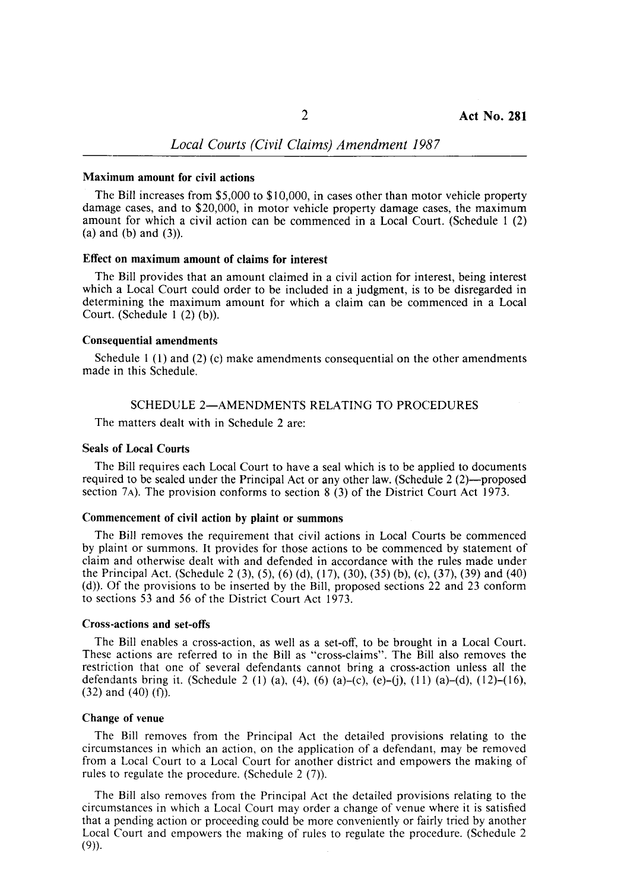## *Local Courts (Civil Claims) Amendment 1987*

#### Maximum amount for civil actions

The Bill increases from \$5,000 to \$10,000, in cases other than motor vehicle property damage cases, and to \$20,000, in motor vehicle property damage cases, the maximum amount for which a civil action can be commenced in a Local Court. (Schedule I (2)  $(a)$  and  $(b)$  and  $(3)$ ).

## Effect on maximum amount of claims for interest

The Bill provides that an amount claimed in a civil action for interest, being interest which a Local Court could order to be included in a judgment, is to be disregarded in determining the maximum amount for which a claim can be commenced in a Local Court. (Schedule  $1(2)(b)$ ).

#### Consequential amendments

Schedule 1 (1) and (2) (c) make amendments consequential on the other amendments made in this Schedule.

## SCHEDULE 2-AMENDMENTS RELATING TO PROCEDURES

The matters dealt with in Schedule 2 are:

## Seals of Local Courts

The Bill requires each Local Court to have a seal which is to be applied to documents required to be sealed under the Principal Act or any other law. (Schedule 2 (2)-proposed section 7 $A$ ). The provision conforms to section 8 (3) of the District Court Act 1973.

#### Commencement of civil action by plaint or summons

The Bill removes the requirement that civil actions in Local Courts be commenced by plaint or summons. It provides for those actions to be commenced by statement of claim and otherwise dealt with and defended in accordance with the rules made under the Principal Act. (Schedule 2 (3), (5), (6) (d), (17), (30), (35) (b), (c), (37), (39) and (40) (d)). Of the provisions to be inserted by the Bill, proposed sections 22 and 23 conform to sections 53 and 56 of the District Court Act 1973.

#### Cross-actions and set-offs

The Bill enables a cross-action, as well as a set-off, to be brought in a Local Court. These actions are referred to in the Bill as "cross-claims". The Bill also removes the restriction that one of several defendants cannot bring a cross-action unless all the defendants bring it. (Schedule 2 (1) (a), (4), (6) (a)–(c), (e)–(j), (11) (a)–(d), (12)–(16), (32) and (40) (f).

#### Change of venue

The Bill removes from the Principal Act the detailed provisions relating to the circumstances in which an action, on the application of a defendant, may be removed from a Local Court to a Local Court for another district and empowers the making of rules to regulate the procedure. (Schedule 2 (7)).

The Bill also removes from the Principal Act the detailed provisions relating to the circumstances in which a Local Court may order a change of venue where it is satisfied that a pending action or proceeding could be more conveniently or fairly tried by another Local Court and empowers the making of rules to regulate the procedure. (Schedule 2  $(9)$ ).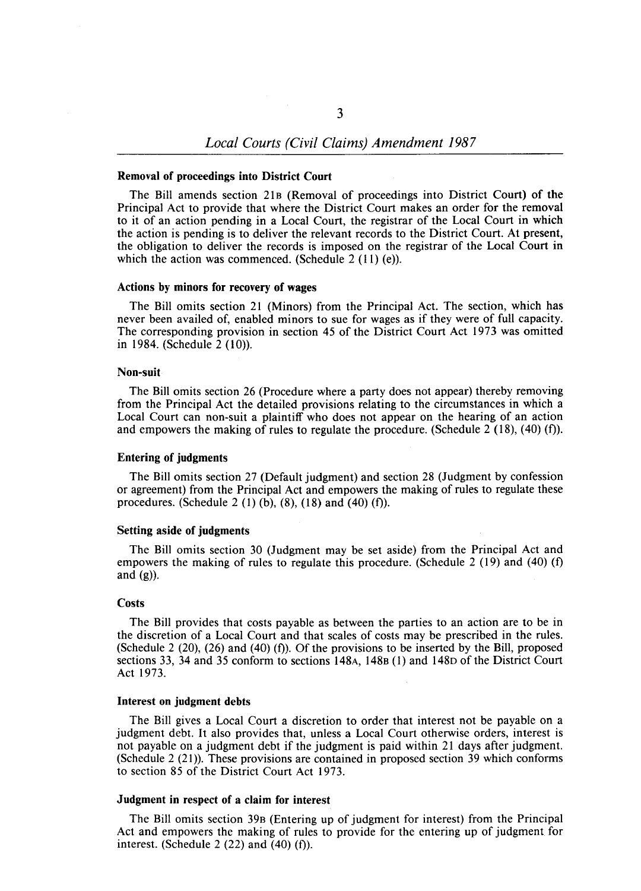#### Removal of proceedings into District Court

The Bill amends section 21B (Removal of proceedings into District Court) of the Principal Act to provide that where the District Court makes an order for the removal to it of an action pending in a Local Court, the registrar of the Local Court in which the action is pending is to deliver the relevant records to the District Court. At present, the obligation to deliver the records is imposed on the registrar of the Local Court in which the action was commenced. (Schedule  $2(11)(e)$ ).

#### Actions by minors for recovery of wages

The Bill omits section 21 (Minors) from the Principal Act. The section, which has never been availed of, enabled minors to sue for wages as if they were of full capacity. The corresponding provision in section 45 of the District Court Act 1973 was omitted in 1984. (Schedule 2 (10».

## Non-suit

The Bill omits section 26 (Procedure where a party does not appear) thereby removing from the Principal Act the detailed provisions relating to the circumstances in which a Local Court can non-suit a plaintiff who does not appear on the hearing of an action and empowers the making of rules to regulate the procedure. (Schedule 2 (18), (40) (f).

#### Entering of judgments

The Bill omits section 27 (Default judgment) and section 28 (Judgment by confession or agreement) from the Principal Act and empowers the making of rules to regulate these procedures. (Schedule 2 (1) (b), (8), (18) and (40) (f)).

## Setting aside of judgments

The Bill omits section 30 (Judgment may be set aside) from the Principal Act and empowers the making of rules to regulate this procedure. (Schedule 2 (19) and (40) (f) and  $(g)$ ).

## **Costs**

The Bill provides that costs payable as between the parties to an action are to be in the discretion of a Local Court and that scales of costs may be prescribed in the rules. (Schedule 2 (20), (26) and (40) (f). Of the provisions to be inserted by the Bill, proposed sections 33, 34 and 35 conform to sections 148A, 148B (l) and 148D of the District Court Act 1973.

#### Interest on judgment debts

The Bill gives a Local Court a discretion to order that interest not be payable on a judgment debt. It also provides that, unless a Local Court otherwise orders, interest is not payable on a judgment debt if the judgment is paid within 21 days after judgment. (Schedule 2 (21». These provisions are contained in proposed section 39 which conforms to section 85 of the District Court Act 1973.

## Judgment in respect of a claim for interest

The Bill omits section 39B (Entering up of judgment for interest) from the Principal Act and empowers the making of rules to provide for the entering up of judgment for interest. (Schedule 2  $(22)$  and  $(40)$   $(f)$ ).

3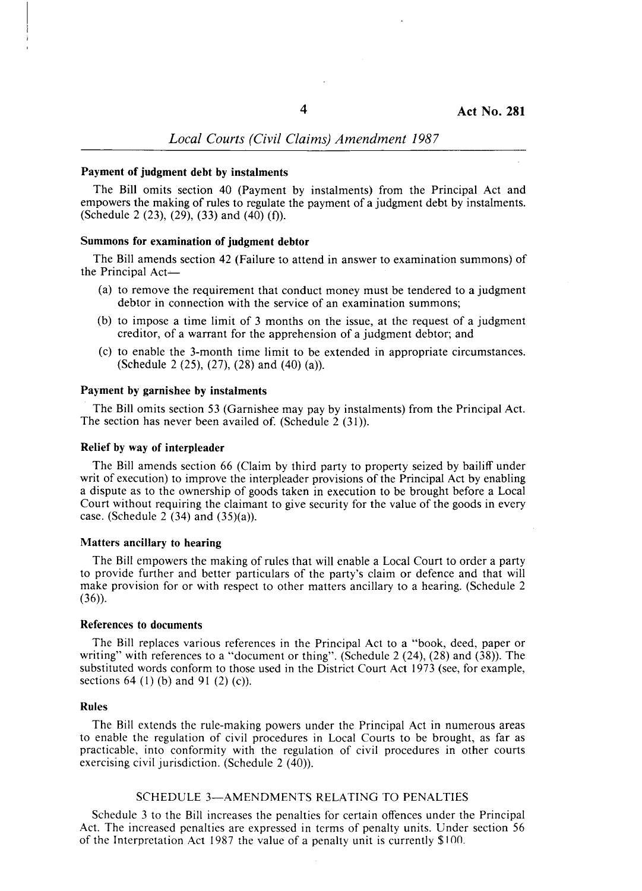## *Local Courts (Civil Claims) Amendment 1987*

## Payment of judgment debt by instalments

The Bill omits section 40 (Payment by instalments) from the Principal Act and empowers the making of rules to regulate the payment of a judgment debt by instalments. (Schedule 2 (23), (29), (33) and (40) (f).

## Summons for examination of judgment debtor

The Bill amends section 42 (Failure to attend in answer to examination summons) of the Principal Act-

- (a) to remove the requirement that conduct money must be tendered to a judgment debtor in connection with the service of an examination summons;
- (b) to impose a time limit of 3 months on the issue, at the request of a judgment creditor, of a warrant for the apprehension of a judgment debtor; and
- (c) to enable the 3-month time limit to be extended in appropriate circumstances. (Schedule 2 (25), (27), (28) and (40) (a)).

### Payment by garnishee by instalments

The Bill omits section 53 (Garnishee may pay by instalments) from the Principal Act. The section has never been availed of. (Schedule 2 (31)).

### Relief by way of interpleader

The Bill amends section 66 (Claim by third party to property seized by bailiff under writ of execution) to improve the interpleader provisions of the Principal Act by enabling a dispute as to the ownership of goods taken in execution to be brought before a Local Court without requiring the claimant to give security for the value of the goods in every case. (Schedule 2  $(34)$  and  $(35)(a)$ ).

#### Matters ancillary to hearing

The Bill empowers the making of rules that will enable a Local Court to order a party to provide further and better particulars of the party's claim or defence and that will make provision for or with respect to other matters ancillary to a hearing. (Schedule 2  $(36)$ .

#### References to documents

The Bill replaces various references in the Principal Act to a "book, deed, paper or writing" with references to a "document or thing". (Schedule 2 (24), (28) and (38». The substituted words conform to those used in the District Court Act 1973 (see, for example, sections  $64$  (1) (b) and  $91$  (2) (c)).

#### Rules

The Bill extends the rule-making powers under the Principal Act in numerous areas to enable the regulation of civil procedures in Local Courts to be brought, as far as practicable, into conformity with the regulation of civil procedures in other courts exercising civil jurisdiction. (Schedule 2 (40)).

#### SCHEDULE 3-AMENDMENTS RELATING TO PENALTIES

Schedule 3 to the Bill increases the penalties for certain offences under the Principal Act. The increased penalties are expressed in terms of penalty units. Under section 56 of the Interpretation Act 1987 the value of a penalty unit is currently \$100.